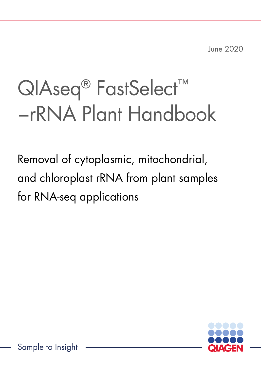June 2020

# QIAseq<sup>®</sup> FastSelect<sup>™</sup> −rRNA Plant Handbook

Removal of cytoplasmic, mitochondrial, and chloroplast rRNA from plant samples for RNA-seq applications



Sample to Insight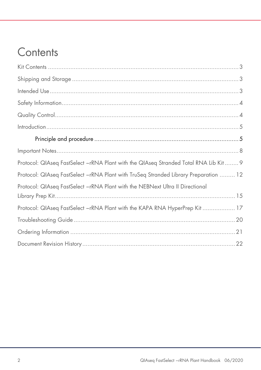# Contents

| Protocol: QIAseq FastSelect -rRNA Plant with the QIAseq Stranded Total RNA Lib Kit  9 |
|---------------------------------------------------------------------------------------|
| Protocol: QIAseq FastSelect -rRNA Plant with TruSeq Stranded Library Preparation  12  |
| Protocol: QIAseq FastSelect -rRNA Plant with the NEBNext Ultra II Directional         |
|                                                                                       |
| Protocol: QIAseq FastSelect -rRNA Plant with the KAPA RNA HyperPrep Kit  17           |
|                                                                                       |
|                                                                                       |
|                                                                                       |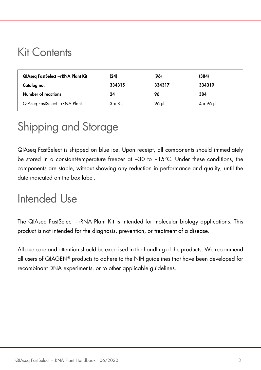### Kit Contents

| QIAseg FastSelect -rRNA Plant Kit | (24)   | (96)   | (384)  |  |
|-----------------------------------|--------|--------|--------|--|
| Catalog no.                       | 334315 | 334317 | 334319 |  |
|                                   |        |        |        |  |
| Number of reactions               | 24     | 96     | 384    |  |

# Shipping and Storage

QIAseq FastSelect is shipped on blue ice. Upon receipt, all components should immediately be stored in a constant-temperature freezer at −30 to −15°C. Under these conditions, the components are stable, without showing any reduction in performance and quality, until the date indicated on the box label.

### Intended Use

The QIAseq FastSelect −rRNA Plant Kit is intended for molecular biology applications. This product is not intended for the diagnosis, prevention, or treatment of a disease.

All due care and attention should be exercised in the handling of the products. We recommend all users of QIAGEN® products to adhere to the NIH guidelines that have been developed for recombinant DNA experiments, or to other applicable guidelines.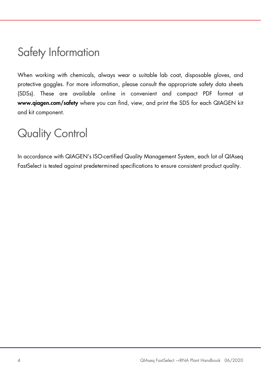### Safety Information

When working with chemicals, always wear a suitable lab coat, disposable gloves, and protective goggles. For more information, please consult the appropriate safety data sheets (SDSs). These are available online in convenient and compact PDF format at www.qiagen.com/safety where you can find, view, and print the SDS for each QIAGEN kit and kit component.

### Quality Control

In accordance with QIAGEN's ISO-certified Quality Management System, each lot of QIAseq FastSelect is tested against predetermined specifications to ensure consistent product quality.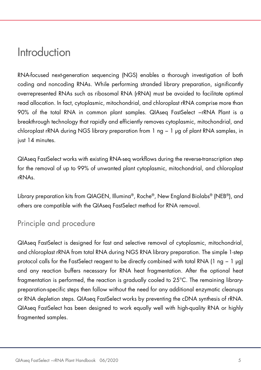### Introduction

RNA-focused next-generation sequencing (NGS) enables a thorough investigation of both coding and noncoding RNAs. While performing stranded library preparation, significantly overrepresented RNAs such as ribosomal RNA (rRNA) must be avoided to facilitate optimal read allocation. In fact, cytoplasmic, mitochondrial, and chloroplast rRNA comprise more than 90% of the total RNA in common plant samples. QIAseq FastSelect -rRNA Plant is a breakthrough technology that rapidly and efficiently removes cytoplasmic, mitochondrial, and chloroplast rRNA during NGS library preparation from 1 ng − 1 µg of plant RNA samples, in just 14 minutes.

QIAseq FastSelect works with existing RNA-seq workflows during the reverse-transcription step for the removal of up to 99% of unwanted plant cytoplasmic, mitochondrial, and chloroplast rRNAs.

Library preparation kits from QIAGEN, Illumina®, Roche®, New England Biolabs® (NEB®), and others are compatible with the QIAseq FastSelect method for RNA removal.

### Principle and procedure

QIAseq FastSelect is designed for fast and selective removal of cytoplasmic, mitochondrial, and chloroplast rRNA from total RNA during NGS RNA library preparation. The simple 1-step protocol calls for the FastSelect reagent to be directly combined with total RNA (1 ng − 1 µg) and any reaction buffers necessary for RNA heat fragmentation. After the optional heat fragmentation is performed, the reaction is gradually cooled to 25°C. The remaining librarypreparation-specific steps then follow without the need for any additional enzymatic cleanups or RNA depletion steps. QIAseq FastSelect works by preventing the cDNA synthesis of rRNA. QIAseq FastSelect has been designed to work equally well with high-quality RNA or highly fragmented samples.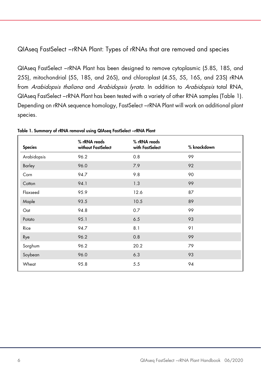#### QIAseq FastSelect −rRNA Plant: Types of rRNAs that are removed and species

QIAseq FastSelect −rRNA Plant has been designed to remove cytoplasmic (5.8S, 18S, and 25S), mitochondrial (5S, 18S, and 26S), and chloroplast (4.5S, 5S, 16S, and 23S) rRNA from Arabidopsis thaliana and Arabidopsis lyrata. In addition to Arabidopsis total RNA, QIAseq FastSelect −rRNA Plant has been tested with a variety of other RNA samples (Table 1). Depending on rRNA sequence homology, FastSelect −rRNA Plant will work on additional plant species.

| <b>Species</b> | % rRNA reads<br>without FastSelect | % rRNA reads<br>with FastSelect | % knockdown |
|----------------|------------------------------------|---------------------------------|-------------|
| Arabidopsis    | 96.2                               | 0.8                             | 99          |
| Barley         | 96.0                               | 7.9                             | 92          |
| Corn           | 94.7                               | 9.8                             | 90          |
| Cotton         | 94.1                               | 1.3                             | 99          |
| Flaxseed       | 95.9                               | 12.6                            | 87          |
| Maple          | 93.5                               | 10.5                            | 89          |
| Oat            | 94.8                               | 0.7                             | 99          |
| Potato         | 95.1                               | 6.5                             | 93          |
| Rice           | 94.7                               | 8.1                             | 91          |
| Rye            | 96.2                               | 0.8                             | 99          |
| Sorghum        | 96.2                               | 20.2                            | 79          |
| Soybean        | 96.0                               | 6.3                             | 93          |
| Wheat          | 95.8                               | 5.5                             | 94          |

Table 1. Summary of rRNA removal using QIAseq FastSelect −rRNA Plant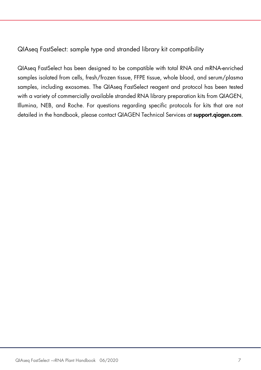QIAseq FastSelect: sample type and stranded library kit compatibility

QIAseq FastSelect has been designed to be compatible with total RNA and mRNA-enriched samples isolated from cells, fresh/frozen tissue, FFPE tissue, whole blood, and serum/plasma samples, including exosomes. The QIAseq FastSelect reagent and protocol has been tested with a variety of commercially available stranded RNA library preparation kits from QIAGEN, Illumina, NEB, and Roche. For questions regarding specific protocols for kits that are not detailed in the handbook, please contact QIAGEN Technical Services at **support.qiagen.com**.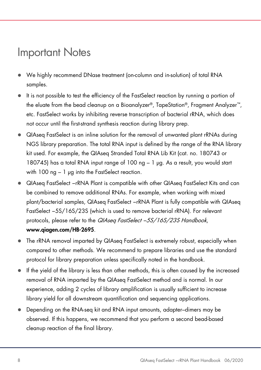### Important Notes

- We highly recommend DNase treatment (on-column and in-solution) of total RNA samples.
- It is not possible to test the efficiency of the FastSelect reaction by running a portion of the eluate from the bead cleanup on a Bioanalyzer®, TapeStation®, Fragment Analyzer™, etc. FastSelect works by inhibiting reverse transcription of bacterial rRNA, which does not occur until the first-strand synthesis reaction during library prep.
- QIAseq FastSelect is an inline solution for the removal of unwanted plant rRNAs during NGS library preparation. The total RNA input is defined by the range of the RNA library kit used. For example, the QIAseq Stranded Total RNA Lib Kit (cat. no. 180743 or 180745) has a total RNA input range of 100 ng – 1 µg. As a result, you would start with  $100$  ng  $-1$  µg into the FastSelect reaction.
- QIAseq FastSelect −rRNA Plant is compatible with other QIAseq FastSelect Kits and can be combined to remove additional RNAs. For example, when working with mixed plant/bacterial samples, QIAseq FastSelect −rRNA Plant is fully compatible with QIAseq FastSelect −5S/16S/23S (which is used to remove bacterial rRNA). For relevant protocols, please refer to the QIAsea FastSelect –5S/16S/23S Handbook, www.qiagen.com/HB-2695.
- The rRNA removal imparted by QIAseq FastSelect is extremely robust, especially when compared to other methods. We recommend to prepare libraries and use the standard protocol for library preparation unless specifically noted in the handbook.
- If the yield of the library is less than other methods, this is often caused by the increased removal of RNA imparted by the QIAseq FastSelect method and is normal. In our experience, adding 2 cycles of library amplification is usually sufficient to increase library yield for all downstream quantification and sequencing applications.
- Depending on the RNA-seq kit and RNA input amounts, adapter–dimers may be observed. If this happens, we recommend that you perform a second bead-based cleanup reaction of the final library.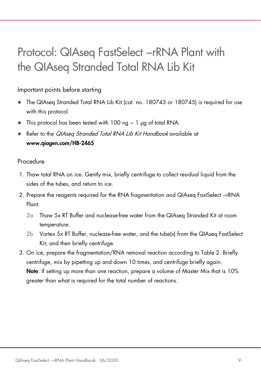### Protocol: QIAseq FastSelect -rRNA Plant with the QIAseq Stranded Total RNA Lib Kit

#### Important points before starting

- The QIAseq Stranded Total RNA Lib Kit (cat. no. 180743 or 180745) is required for use with this protocol.
- This protocol has been tested with 100 ng − 1 µg of total RNA.
- Refer to the *QIAseq Stranded Total RNA Lib Kit Handbook* available at www.qiagen.com/HB-2465

#### Procedure

- 1. Thaw total RNA on ice. Gently mix, briefly centrifuge to collect residual liquid from the sides of the tubes, and return to ice.
- 2. Prepare the reagents required for the RNA fragmentation and QIAseq FastSelect −rRNA Plant.
	- 2a. Thaw 5x RT Buffer and nuclease-free water from the QIAseq Stranded Kit at room temperature.
	- 2b. Vortex 5x RT Buffer, nuclease-free water, and the tube(s) from the QIAseq FastSelect Kit, and then briefly centrifuge.
- 3. On ice, prepare the fragmentation/RNA removal reaction according to Table 2. Briefly centrifuge, mix by pipetting up and down 10 times, and centrifuge briefly again. Note: If setting up more than one reaction, prepare a volume of Master Mix that is 10% greater than what is required for the total number of reactions.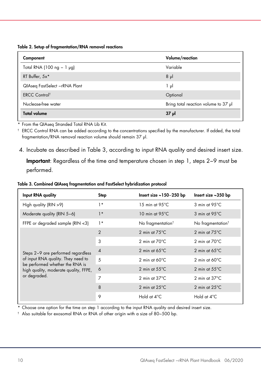Table 2. Setup of fragmentation/RNA removal reactions

| Component                      | Volume/reaction                      |
|--------------------------------|--------------------------------------|
| Total RNA (100 ng $-1$ µg)     | Variable                             |
| RT Buffer, 5x*                 | $8 \mu$                              |
| QIAseq FastSelect - rRNA Plant | 1 µl                                 |
| <b>ERCC Controlt</b>           | Optional                             |
| Nuclease-free water            | Bring total reaction volume to 37 µl |
| <b>Total volume</b>            | $37 \mu$                             |

\* From the QIAseq Stranded Total RNA Lib Kit.

† ERCC Control RNA can be added according to the concentrations specified by the manufacturer. If added, the total fragmentation/RNA removal reaction volume should remain 37 µl.

4. Incubate as described in Table 3, according to input RNA quality and desired insert size. Important: Regardless of the time and temperature chosen in step 1, steps 2−9 must be performed.

| Table 3. Combined QIAseq fragmentation and FastSelect hybridization protocol |
|------------------------------------------------------------------------------|
|------------------------------------------------------------------------------|

| Input RNA quality                                                                                                                                                    | Step           | Insert size $\sim$ 150-250 bp | Insert size $~350$ bp         |
|----------------------------------------------------------------------------------------------------------------------------------------------------------------------|----------------|-------------------------------|-------------------------------|
| High quality (RIN >9)                                                                                                                                                | $1*$           | 15 min at $95^{\circ}$ C      | $3$ min at 95 $\degree$ C     |
| Moderate quality (RIN 5-6)                                                                                                                                           | $1*$           | 10 min at $95^{\circ}$ C      | 3 min at 95°C                 |
| FFPE or degraded sample (RIN <3)                                                                                                                                     | $1*$           | No fragmentation <sup>t</sup> | No fragmentation <sup>t</sup> |
| Steps 2-9 are performed regardless<br>of input RNA quality. They need to<br>be performed whether the RNA is<br>high quality, moderate quality, FFPE,<br>or degraded. | 2              | 2 min at $75^{\circ}$ C       | 2 min at $75^{\circ}$ C       |
|                                                                                                                                                                      | 3              | 2 min at $70^{\circ}$ C       | 2 min at $70^{\circ}$ C       |
|                                                                                                                                                                      | $\overline{4}$ | 2 min at $65^{\circ}$ C       | 2 min at $65^{\circ}$ C       |
|                                                                                                                                                                      | 5              | 2 min at $60^{\circ}$ C       | 2 min at $60^{\circ}$ C       |
|                                                                                                                                                                      | 6              | 2 min at $55^{\circ}$ C       | 2 min at $55^{\circ}$ C       |
|                                                                                                                                                                      | 7              | 2 min at $37^{\circ}$ C       | 2 min at $37^{\circ}$ C       |
|                                                                                                                                                                      | 8              | 2 min at $25^{\circ}$ C       | 2 min at $25^{\circ}$ C       |
|                                                                                                                                                                      | 9              | Hold at 4°C                   | Hold at 4°C                   |

\* Choose one option for the time on step 1 according to the input RNA quality and desired insert size.

† Also suitable for exosomal RNA or RNA of other origin with a size of 80−500 bp.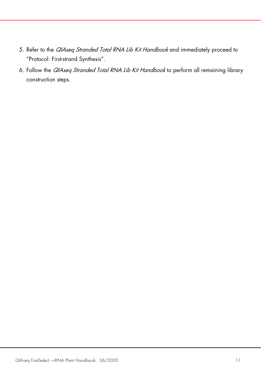- 5. Refer to the QIAseq Stranded Total RNA Lib Kit Handbook and immediately proceed to "Protocol: First-strand Synthesis".
- 6. Follow the QIAseq Stranded Total RNA Lib Kit Handbook to perform all remaining library construction steps.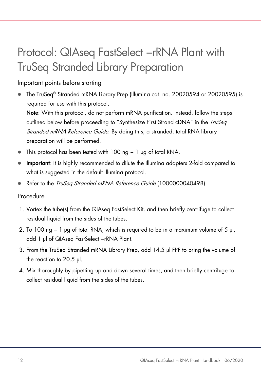# Protocol: QIAseq FastSelect -rRNA Plant with TruSeq Stranded Library Preparation

Important points before starting

● The TruSeq® Stranded mRNA Library Prep (Illumina cat. no. 20020594 or 20020595) is required for use with this protocol.

Note: With this protocol, do not perform mRNA purification. Instead, follow the steps outlined below before proceeding to "Synthesize First Strand cDNA" in the *TruSeq* Stranded mRNA Reference Guide. By doing this, a stranded, total RNA library preparation will be performed.

- This protocol has been tested with 100 ng − 1 µg of total RNA.
- **Important:** It is highly recommended to dilute the Illumina adapters 2-fold compared to what is suggested in the default Illumina protocol.
- Refer to the *TruSeq Stranded mRNA Reference Guide* (1000000040498).

#### Procedure

- 1. Vortex the tube(s) from the QIAsea FastSelect Kit, and then briefly centrifuge to collect residual liquid from the sides of the tubes.
- 2. To 100 ng − 1 µg of total RNA, which is required to be in a maximum volume of 5 μl, add 1 μl of QIAseq FastSelect −rRNA Plant.
- 3. From the TruSeq Stranded mRNA Library Prep, add 14.5 μl FPF to bring the volume of the reaction to 20.5 μl.
- 4. Mix thoroughly by pipetting up and down several times, and then briefly centrifuge to collect residual liquid from the sides of the tubes.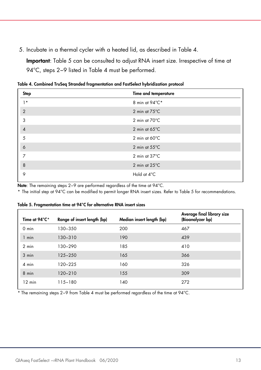5. Incubate in a thermal cycler with a heated lid, as described in Table 4.

Important: Table 5 can be consulted to adjust RNA insert size. Irrespective of time at 94°C, steps 2−9 listed in Table 4 must be performed.

| Step           | Time and temperature    |
|----------------|-------------------------|
| $1*$           | 8 min at 94°C*          |
| $\overline{2}$ | 2 min at 75°C           |
| 3              | 2 min at 70°C           |
| $\overline{4}$ | 2 min at $65^{\circ}$ C |
| 5              | 2 min at $60^{\circ}$ C |
| $\ddot{\circ}$ | 2 min at $55^{\circ}$ C |
| 7              | 2 min at $37^{\circ}$ C |
| 8              | 2 min at 25°C           |
| 9              | Hold at 4°C             |

Table 4. Combined TruSeq Stranded fragmentation and FastSelect hybridization protocol

Note: The remaining steps 2−9 are performed regardless of the time at 94°C.

\* The initial step at 94°C can be modified to permit longer RNA insert sizes. Refer to Table 5 for recommendations.

| Time at 94°C*    | Range of insert length (bp) | Median insert length (bp) | Average final library size<br>(Bioanalyzer bp) |
|------------------|-----------------------------|---------------------------|------------------------------------------------|
| $0$ min          | 130-350                     | 200                       | 467                                            |
| 1 min            | $130 - 310$                 | 190                       | 439                                            |
| $2$ min          | 130-290                     | 185                       | 410                                            |
| 3 min            | $125 - 250$                 | 165                       | 366                                            |
| 4 min            | 120-225                     | 160                       | 326                                            |
| 8 min            | 120-210                     | 155                       | 309                                            |
| $12 \text{ min}$ | 115-180                     | 140                       | 272                                            |

Table 5. Fragmentation time at 94°C for alternative RNA insert sizes

\* The remaining steps 2−9 from Table 4 must be performed regardless of the time at 94°C.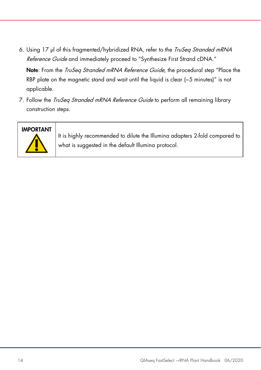6. Using 17 µl of this fragmented/hybridized RNA, refer to the *TruSeq Stranded mRNA* Reference Guide and immediately proceed to "Synthesize First Strand cDNA."

Note: From the *TruSeg Stranded mRNA Reference Guide*, the procedural step "Place the RBP plate on the magnetic stand and wait until the liquid is clear  $(-5 \text{ minutes})$ " is not applicable.

7. Follow the *TruSeq Stranded mRNA Reference Guide* to perform all remaining library construction steps.

### IMPORTANT



It is highly recommended to dilute the Illumina adapters 2-fold compared to what is suggested in the default Illumina protocol.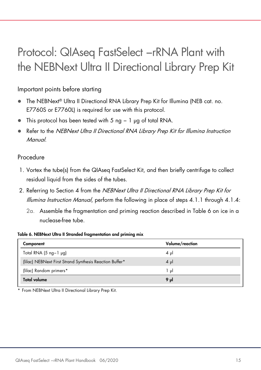### Protocol: QIAseq FastSelect -rRNA Plant with the NEBNext Ultra II Directional Library Prep Kit

Important points before starting

- The NEBNext® Ultra II Directional RNA Library Prep Kit for Illumina (NEB cat. no. E7760S or E7760L) is required for use with this protocol.
- This protocol has been tested with 5 ng − 1 µg of total RNA.
- Refer to the NEBNext Ultra II Directional RNA Library Prep Kit for Illumina Instruction Manual.

#### Procedure

- 1. Vortex the tube(s) from the QIAseq FastSelect Kit, and then briefly centrifuge to collect residual liquid from the sides of the tubes.
- 2. Referring to Section 4 from the NEBNext Ultra II Directional RNA Library Prep Kit for Illumina Instruction Manual, perform the following in place of steps 4.1.1 through 4.1.4:
	- 2a. Assemble the fragmentation and priming reaction described in Table 6 on ice in a nuclease-free tube.

#### Table 6. NEBNext Ultra II Stranded fragmentation and priming mix

| Component                                               | Volume/reaction |
|---------------------------------------------------------|-----------------|
| Total RNA $(5 \nmid -1)$ $\mu$ g)                       | $4 \mu$         |
| (Iilac) NEBNext First Strand Synthesis Reaction Buffer* | $4 \mu$         |
| (lilac) Random primers*                                 | اں 1            |
| <b>Total volume</b>                                     | 9 µl            |

From NEBNext Ultra II Directional Library Prep Kit.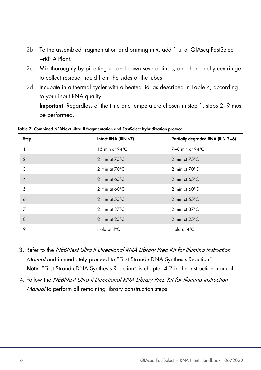- 2b. To the assembled fragmentation and priming mix, add 1 μl of QIAseq FastSelect −rRNA Plant.
- 2c. Mix thoroughly by pipetting up and down several times, and then briefly centrifuge to collect residual liquid from the sides of the tubes
- 2d. Incubate in a thermal cycler with a heated lid, as described in Table 7, according to your input RNA quality.

Important: Regardless of the time and temperature chosen in step 1, steps 2−9 must be performed.

| Step           | Intact RNA $(RIN > 7)$   | Partially degraded RNA (RIN 2-6) |
|----------------|--------------------------|----------------------------------|
|                | 15 min at $94^{\circ}$ C | $7-8$ min at $94^{\circ}$ C      |
| $\overline{2}$ | 2 min at $75^{\circ}$ C  | 2 min at $75^{\circ}$ C          |
| 3              | 2 min at $70^{\circ}$ C  | 2 min at $70^{\circ}$ C          |
| $\overline{4}$ | 2 min at $65^{\circ}$ C  | 2 min at $65^{\circ}$ C          |
| 5              | 2 min at $60^{\circ}$ C  | 2 min at $60^{\circ}$ C          |
| 6              | 2 min at $55^{\circ}$ C  | 2 min at $55^{\circ}$ C          |
| 7              | 2 min at $37^{\circ}$ C  | 2 min at $37^{\circ}$ C          |
| 8              | 2 min at $25^{\circ}$ C  | 2 min at $25^{\circ}$ C          |
| 9              | Hold at 4°C              | Hold at 4°C                      |

Table 7. Combined NEBNext Ultra II fragmentation and FastSelect hybridization protocol

- 3. Refer to the NEBNext Ultra II Directional RNA Library Prep Kit for Illumina Instruction Manual and immediately proceed to "First Strand cDNA Synthesis Reaction". Note: "First Strand cDNA Synthesis Reaction" is chapter 4.2 in the instruction manual.
- 4. Follow the NEBNext Ultra II Directional RNA Library Prep Kit for Illumina Instruction Manual to perform all remaining library construction steps.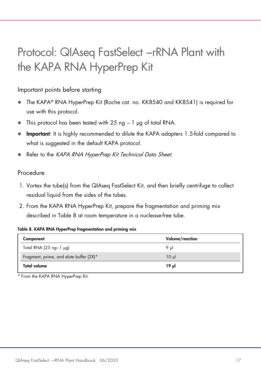# Protocol: QIAseq FastSelect -rRNA Plant with the KAPA RNA HyperPrep Kit

#### Important points before starting

- The KAPA® RNA HyperPrep Kit (Roche cat. no. KK8540 and KK8541) is required for use with this protocol.
- $\bullet$  This protocol has been tested with 25 ng 1  $\mu$ g of total RNA.
- Important: It is highly recommended to dilute the KAPA adapters 1.5-fold compared to what is suggested in the default KAPA protocol.
- Refer to the KAPA RNA HyperPrep Kit Technical Data Sheet.

#### Procedure

- 1. Vortex the tube(s) from the QIAseq FastSelect Kit, and then briefly centrifuge to collect residual liquid from the sides of the tubes.
- 2. From the KAPA RNA HyperPrep Kit, prepare the fragmentation and priming mix described in Table 8 at room temperature in a nuclease-free tube.

#### Table 8. KAPA RNA HyperPrep fragmentation and priming mix

| Component                                | Volume/reaction |
|------------------------------------------|-----------------|
| Total RNA $(25 \text{ ng}-1 \text{ pg})$ | 9 $\mu$         |
| Fragment, prime, and elute buffer (2X)*  | 10 ul           |
| Total volume                             | 19 JJ           |

\* From the KAPA RNA HyperPrep Kit.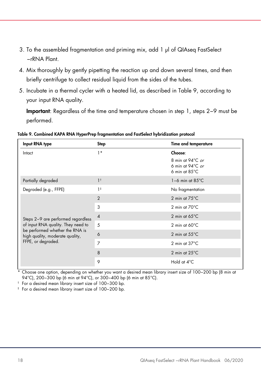- 3. To the assembled fragmentation and priming mix, add 1 μl of QIAseq FastSelect −rRNA Plant.
- 4. Mix thoroughly by gently pipetting the reaction up and down several times, and then briefly centrifuge to collect residual liquid from the sides of the tubes.
- 5. Incubate in a thermal cycler with a heated lid, as described in Table 9, according to your input RNA quality.

Important: Regardless of the time and temperature chosen in step 1, steps 2−9 must be performed.

|  | Table 9. Combined KAPA RNA HyperPrep fragmentation and FastSelect hybridization protocol |  |  |  |  |  |
|--|------------------------------------------------------------------------------------------|--|--|--|--|--|
|--|------------------------------------------------------------------------------------------|--|--|--|--|--|

| Input RNA type                                                                                                                                                       | Step           | Time and temperature                                                                       |
|----------------------------------------------------------------------------------------------------------------------------------------------------------------------|----------------|--------------------------------------------------------------------------------------------|
| Intact                                                                                                                                                               | $1*$           | Choose:                                                                                    |
|                                                                                                                                                                      |                | 8 min at $94^{\circ}$ C or<br>6 min at $94^{\circ}$ C <i>or</i><br>6 min at $85^{\circ}$ C |
| Partially degraded                                                                                                                                                   | 1 <sup>†</sup> | $1-6$ min at $85^{\circ}$ C                                                                |
| Degraded (e.g., FFPE)                                                                                                                                                | $1^{\ddagger}$ | No fragmentation                                                                           |
| Steps 2-9 are performed regardless<br>of input RNA quality. They need to<br>be performed whether the RNA is<br>high quality, moderate quality,<br>FFPE, or degraded. | 2              | 2 min at $75^{\circ}$ C                                                                    |
|                                                                                                                                                                      | 3              | 2 min at $70^{\circ}$ C                                                                    |
|                                                                                                                                                                      | $\overline{A}$ | 2 min at $65^{\circ}$ C                                                                    |
|                                                                                                                                                                      | 5              | 2 min at $60^{\circ}$ C                                                                    |
|                                                                                                                                                                      | 6              | 2 min at $55^{\circ}$ C                                                                    |
|                                                                                                                                                                      | 7              | 2 min at $37^{\circ}$ C                                                                    |
|                                                                                                                                                                      | 8              | 2 min at $25^{\circ}$ C                                                                    |
|                                                                                                                                                                      | 9              | Hold at 4°C                                                                                |

\* Choose one option, depending on whether you want a desired mean library insert size of 100−200 bp (8 min at 94°C), 200−300 bp (6 min at 94°C), or 300−400 bp (6 min at 85°C).

† For a desired mean library insert size of 100−300 bp.

‡ For a desired mean library insert size of 100−200 bp.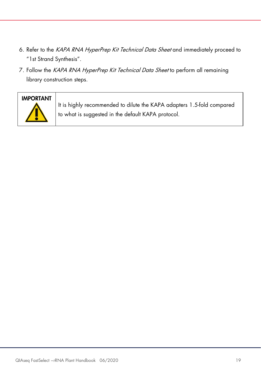- 6. Refer to the KAPA RNA HyperPrep Kit Technical Data Sheet and immediately proceed to "1st Strand Synthesis".
- 7. Follow the KAPA RNA HyperPrep Kit Technical Data Sheet to perform all remaining library construction steps.



It is highly recommended to dilute the KAPA adapters 1.5-fold compared to what is suggested in the default KAPA protocol.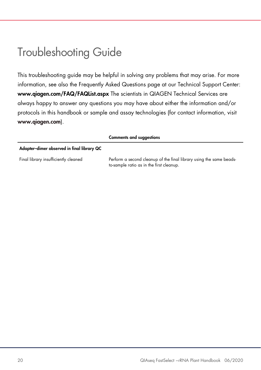### Troubleshooting Guide

This troubleshooting guide may be helpful in solving any problems that may arise. For more information, see also the Frequently Asked Questions page at our Technical Support Center: www.qiagen.com/FAQ/FAQList.aspx The scientists in QIAGEN Technical Services are always happy to answer any questions you may have about either the information and/or protocols in this handbook or sample and assay technologies (for contact information, visit www.qiagen.com).

|                                            | <b>Comments and suggestions</b>                                                                                 |
|--------------------------------------------|-----------------------------------------------------------------------------------------------------------------|
| Adapter-dimer observed in final library QC |                                                                                                                 |
| Final library insufficiently cleaned       | Perform a second cleanup of the final library using the same beads-<br>to-sample ratio as in the first cleanup. |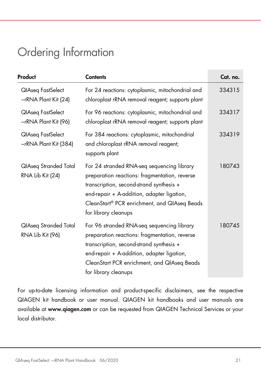### Ordering Information

| Product                                          | <b>Contents</b>                                                                                                                                                                                                                                               | Cat. no. |
|--------------------------------------------------|---------------------------------------------------------------------------------------------------------------------------------------------------------------------------------------------------------------------------------------------------------------|----------|
| QIAseq FastSelect<br>-rRNA Plant Kit (24)        | For 24 reactions: cytoplasmic, mitochondrial and<br>chloroplast rRNA removal reagent; supports plant                                                                                                                                                          | 334315   |
| <b>QIAseq FastSelect</b><br>-rRNA Plant Kit (96) | For 96 reactions: cytoplasmic, mitochondrial and<br>chloroplast rRNA removal reagent; supports plant                                                                                                                                                          | 334317   |
| QIAseq FastSelect<br>-rRNA Plant Kit (384)       | For 384 reactions: cytoplasmic, mitochondrial<br>and chloroplast rRNA removal reagent;<br>supports plant                                                                                                                                                      | 334319   |
| QlAseq Stranded Total<br>RNA Lib Kit (24)        | For 24 stranded RNA-seq sequencing library<br>preparation reactions: fragmentation, reverse<br>transcription, second-strand synthesis +<br>end-repair + A-addition, adapter ligation,<br>CleanStart® PCR enrichment, and QIAseq Beads<br>for library cleanups | 180743   |
| QlAseq Stranded Total<br>RNA Lib Kit (96)        | For 96 stranded RNA-seq sequencing library<br>preparation reactions: fragmentation, reverse<br>transcription, second-strand synthesis +<br>end-repair + A-addition, adapter ligation,<br>CleanStart PCR enrichment, and QIAseq Beads<br>for library cleanups  | 180745   |

For up-to-date licensing information and product-specific disclaimers, see the respective QIAGEN kit handbook or user manual. QIAGEN kit handbooks and user manuals are available at www.qiagen.com or can be requested from QIAGEN Technical Services or your local distributor.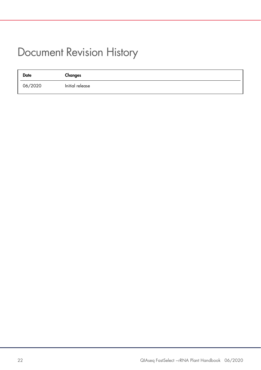### Document Revision History

| <b>Date</b> | Changes         |
|-------------|-----------------|
| 06/2020     | Initial release |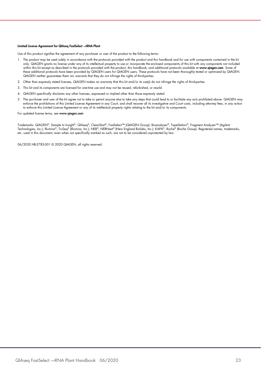#### Limited License Agreement for QIAseq FastSelect −rRNA Plant

Use of this product signifies the agreement of any purchaser or user of the product to the following terms:

- 1. The product may be used solely in accordance with the protocols provided with the product and this handbook and for use with components contained in the kit only. QIAGEN grants no license under any of its intellectual property to use or incorporate the enclosed components of this kit with any components not included within this kit except as described in the protocols provided with the product, this handbook, and additional protocols available at www.qiagen.com. Some of these additional protocols have been provided by QIAGEN users tor QIAGEN users. These protocols have not been thoroughly tested or optimized by QIAGEN.<br>QIAGEN neither guarantees them nor warrants that they do not infringe
- 2. Other than expressly stated licenses, QIAGEN makes no warranty that this kit and/or its use(s) do not infringe the rights of third-parties.
- 3. This kit and its components are licensed for one-time use and may not be reused, refurbished, or resold.
- 4. QIAGEN specifically disclaims any other licenses, expressed or implied other than those expressly stated.
- 5. The purchaser and user of the kit agree not to take or permit anyone else to take any steps that could lead to or facilitate any acts prohibited above. QIAGEN may enforce the prohibitions of this Limited License Agreement in any Court, and shall recover all its investigative and Court costs, including attorney fees, in any action to enforce this Limited License Agreement or any of its intellectual property rights relating to the kit and/or its components.

#### For updated license terms, see www.qiagen.com

Trademarks: QIAGEN®, Sample to Insight®, QIAseq®, CleanStart®, FastSelect™ (QIAGEN Group); Bioanalyzer®, TapeStation®, Fragment Analyzer™ (Agilent<br>Technologies, Inc.); Illumina®, TruSeq® (Illumina, Inc.); NEB®, NEBNext® ( etc. used in this document, even when not specifically marked as such, are not to be considered unprotected by law.

06/2020 HB-2783-001 © 2020 QIAGEN, all rights reserved.